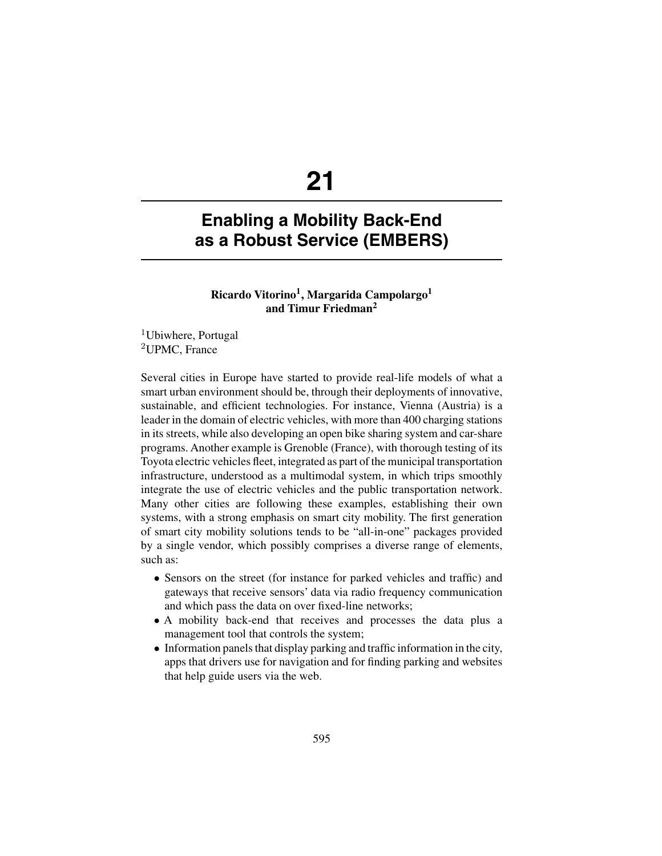# **21**

# **Enabling a Mobility Back-End as a Robust Service (EMBERS)**

# **Ricardo Vitorino1, Margarida Campolargo1 and Timur Friedman2**

<sup>1</sup>Ubiwhere, Portugal <sup>2</sup>UPMC, France

Several cities in Europe have started to provide real-life models of what a smart urban environment should be, through their deployments of innovative, sustainable, and efficient technologies. For instance, Vienna (Austria) is a leader in the domain of electric vehicles, with more than 400 charging stations in its streets, while also developing an open bike sharing system and car-share programs. Another example is Grenoble (France), with thorough testing of its Toyota electric vehicles fleet, integrated as part of the municipal transportation infrastructure, understood as a multimodal system, in which trips smoothly integrate the use of electric vehicles and the public transportation network. Many other cities are following these examples, establishing their own systems, with a strong emphasis on smart city mobility. The first generation of smart city mobility solutions tends to be "all-in-one" packages provided by a single vendor, which possibly comprises a diverse range of elements, such as:

- Sensors on the street (for instance for parked vehicles and traffic) and gateways that receive sensors' data via radio frequency communication and which pass the data on over fixed-line networks;
- A mobility back-end that receives and processes the data plus a management tool that controls the system;
- Information panels that display parking and traffic information in the city, apps that drivers use for navigation and for finding parking and websites that help guide users via the web.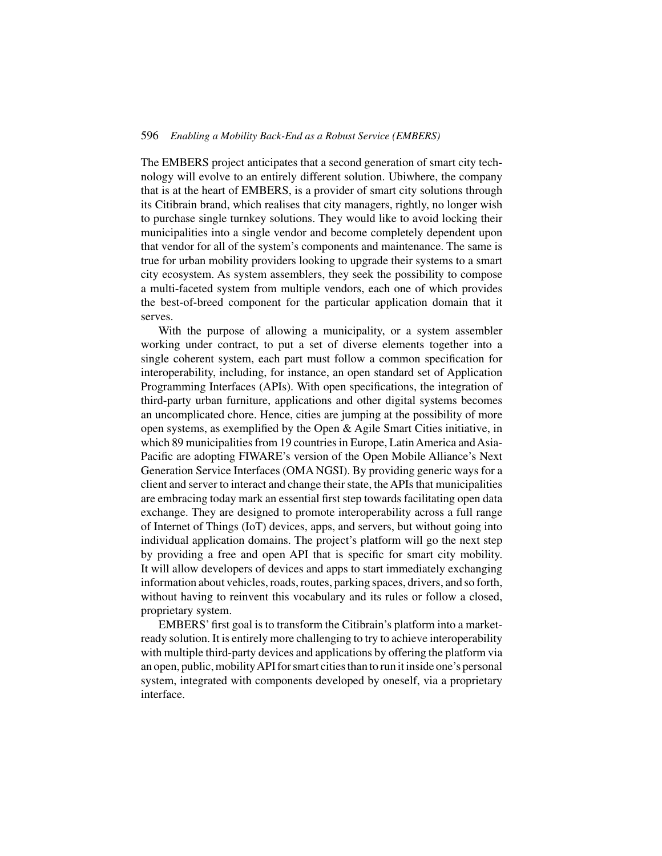The EMBERS project anticipates that a second generation of smart city technology will evolve to an entirely different solution. Ubiwhere, the company that is at the heart of EMBERS, is a provider of smart city solutions through its Citibrain brand, which realises that city managers, rightly, no longer wish to purchase single turnkey solutions. They would like to avoid locking their municipalities into a single vendor and become completely dependent upon that vendor for all of the system's components and maintenance. The same is true for urban mobility providers looking to upgrade their systems to a smart city ecosystem. As system assemblers, they seek the possibility to compose a multi-faceted system from multiple vendors, each one of which provides the best-of-breed component for the particular application domain that it serves.

With the purpose of allowing a municipality, or a system assembler working under contract, to put a set of diverse elements together into a single coherent system, each part must follow a common specification for interoperability, including, for instance, an open standard set of Application Programming Interfaces (APIs). With open specifications, the integration of third-party urban furniture, applications and other digital systems becomes an uncomplicated chore. Hence, cities are jumping at the possibility of more open systems, as exemplified by the Open & Agile Smart Cities initiative, in which 89 municipalities from 19 countries in Europe, Latin America and Asia-Pacific are adopting FIWARE's version of the Open Mobile Alliance's Next Generation Service Interfaces (OMA NGSI). By providing generic ways for a client and server to interact and change their state, the APIs that municipalities are embracing today mark an essential first step towards facilitating open data exchange. They are designed to promote interoperability across a full range of Internet of Things (IoT) devices, apps, and servers, but without going into individual application domains. The project's platform will go the next step by providing a free and open API that is specific for smart city mobility. It will allow developers of devices and apps to start immediately exchanging information about vehicles, roads, routes, parking spaces, drivers, and so forth, without having to reinvent this vocabulary and its rules or follow a closed, proprietary system.

EMBERS' first goal is to transform the Citibrain's platform into a marketready solution. It is entirely more challenging to try to achieve interoperability with multiple third-party devices and applications by offering the platform via an open, public, mobilityAPI for smart cities than to run it inside one's personal system, integrated with components developed by oneself, via a proprietary interface.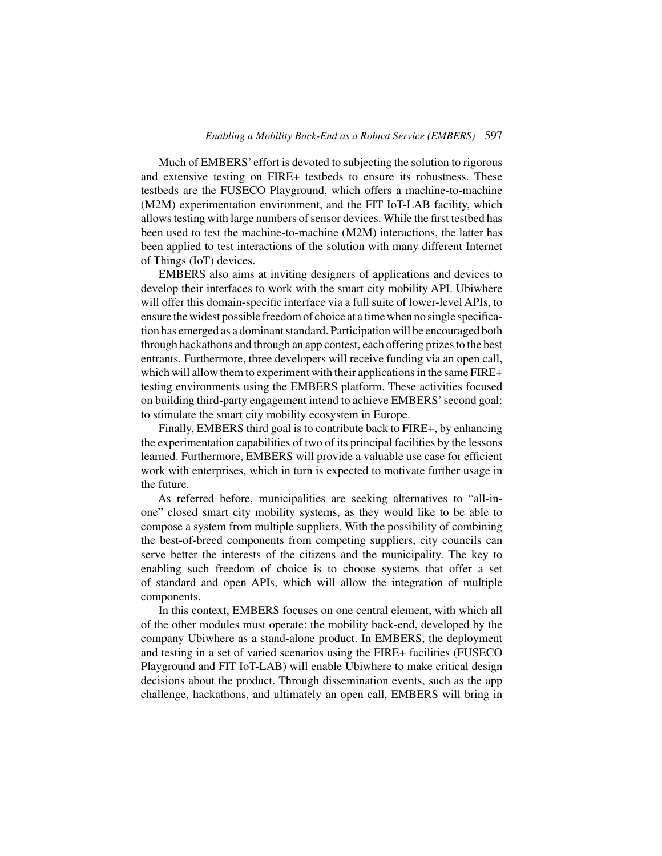Much of EMBERS' effort is devoted to subjecting the solution to rigorous and extensive testing on FIRE+ testbeds to ensure its robustness. These testbeds are the FUSECO Playground, which offers a machine-to-machine (M2M) experimentation environment, and the FIT IoT-LAB facility, which allows testing with large numbers of sensor devices. While the first testbed has been used to test the machine-to-machine (M2M) interactions, the latter has been applied to test interactions of the solution with many different Internet of Things (IoT) devices.

EMBERS also aims at inviting designers of applications and devices to develop their interfaces to work with the smart city mobility API. Ubiwhere will offer this domain-specific interface via a full suite of lower-level APIs, to ensure the widest possible freedom of choice at a time when no single specification has emerged as a dominant standard. Participation will be encouraged both through hackathons and through an app contest, each offering prizes to the best entrants. Furthermore, three developers will receive funding via an open call, which will allow them to experiment with their applications in the same FIRE+ testing environments using the EMBERS platform. These activities focused on building third-party engagement intend to achieve EMBERS' second goal: to stimulate the smart city mobility ecosystem in Europe.

Finally, EMBERS third goal is to contribute back to FIRE+, by enhancing the experimentation capabilities of two of its principal facilities by the lessons learned. Furthermore, EMBERS will provide a valuable use case for efficient work with enterprises, which in turn is expected to motivate further usage in the future.

As referred before, municipalities are seeking alternatives to "all-inone" closed smart city mobility systems, as they would like to be able to compose a system from multiple suppliers. With the possibility of combining the best-of-breed components from competing suppliers, city councils can serve better the interests of the citizens and the municipality. The key to enabling such freedom of choice is to choose systems that offer a set of standard and open APIs, which will allow the integration of multiple components.

In this context, EMBERS focuses on one central element, with which all of the other modules must operate: the mobility back-end, developed by the company Ubiwhere as a stand-alone product. In EMBERS, the deployment and testing in a set of varied scenarios using the FIRE+ facilities (FUSECO Playground and FIT IoT-LAB) will enable Ubiwhere to make critical design decisions about the product. Through dissemination events, such as the app challenge, hackathons, and ultimately an open call, EMBERS will bring in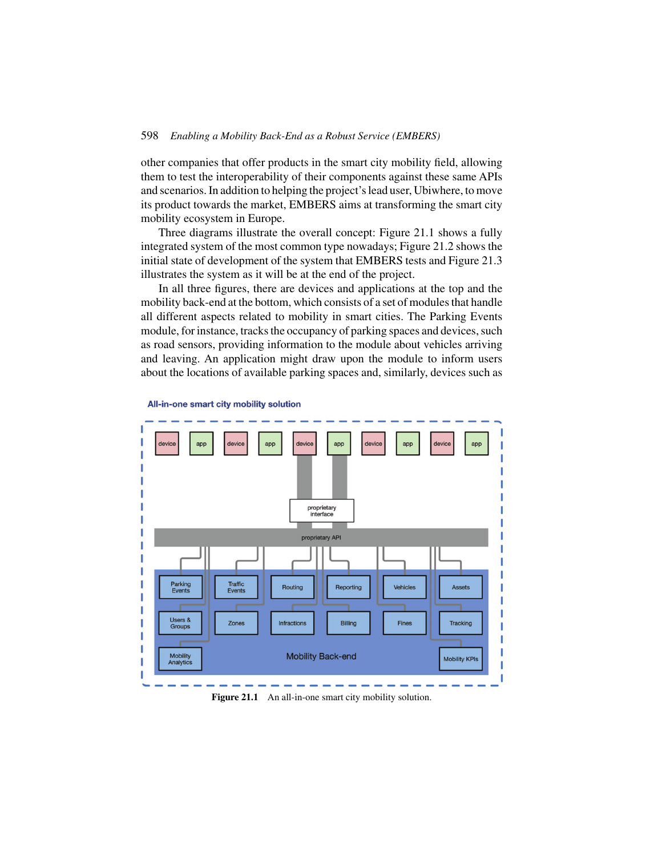other companies that offer products in the smart city mobility field, allowing them to test the interoperability of their components against these same APIs and scenarios. In addition to helping the project's lead user, Ubiwhere, to move its product towards the market, EMBERS aims at transforming the smart city mobility ecosystem in Europe.

Three diagrams illustrate the overall concept: Figure 21.1 shows a fully integrated system of the most common type nowadays; Figure 21.2 shows the initial state of development of the system that EMBERS tests and Figure 21.3 illustrates the system as it will be at the end of the project.

In all three figures, there are devices and applications at the top and the mobility back-end at the bottom, which consists of a set of modules that handle all different aspects related to mobility in smart cities. The Parking Events module, for instance, tracks the occupancy of parking spaces and devices, such as road sensors, providing information to the module about vehicles arriving and leaving. An application might draw upon the module to inform users about the locations of available parking spaces and, similarly, devices such as



All-in-one smart city mobility solution

**Figure 21.1** An all-in-one smart city mobility solution.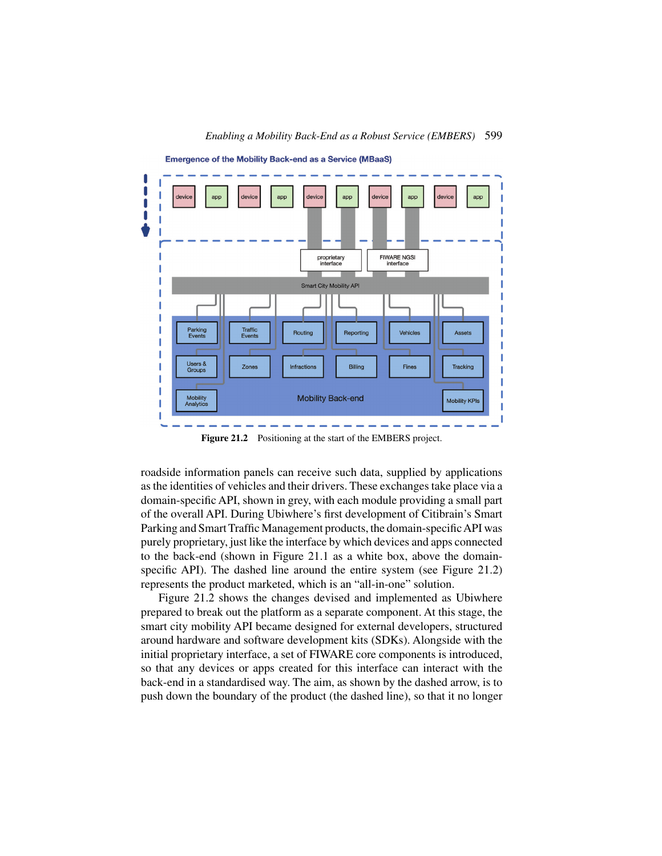

**Emergence of the Mobility Back-end as a Service (MBaaS)** 

Figure 21.2 Positioning at the start of the EMBERS project.

roadside information panels can receive such data, supplied by applications as the identities of vehicles and their drivers. These exchanges take place via a domain-specific API, shown in grey, with each module providing a small part of the overall API. During Ubiwhere's first development of Citibrain's Smart Parking and Smart Traffic Management products, the domain-specificAPI was purely proprietary, just like the interface by which devices and apps connected to the back-end (shown in Figure 21.1 as a white box, above the domainspecific API). The dashed line around the entire system (see Figure 21.2) represents the product marketed, which is an "all-in-one" solution.

Figure 21.2 shows the changes devised and implemented as Ubiwhere prepared to break out the platform as a separate component. At this stage, the smart city mobility API became designed for external developers, structured around hardware and software development kits (SDKs). Alongside with the initial proprietary interface, a set of FIWARE core components is introduced, so that any devices or apps created for this interface can interact with the back-end in a standardised way. The aim, as shown by the dashed arrow, is to push down the boundary of the product (the dashed line), so that it no longer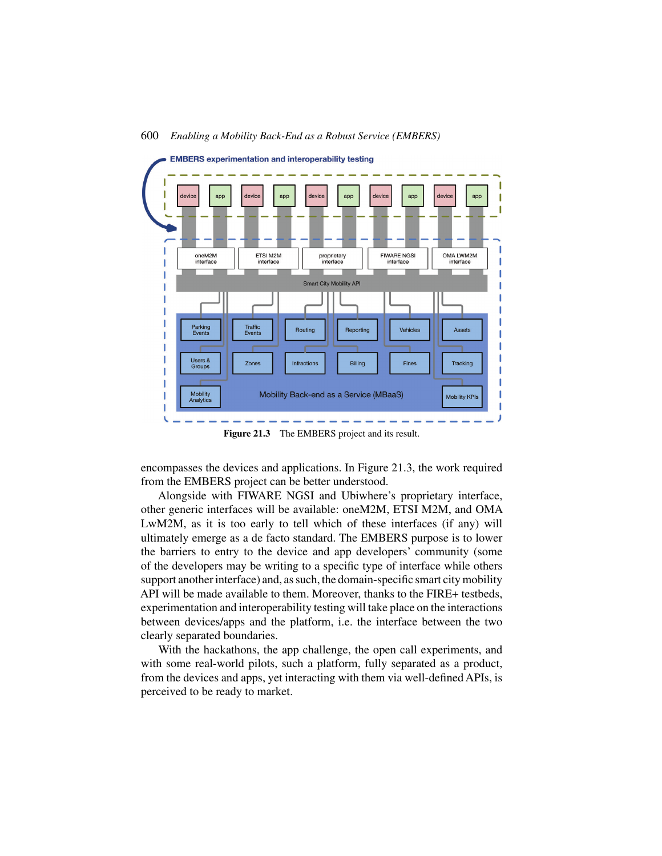

**Figure 21.3** The EMBERS project and its result.

encompasses the devices and applications. In Figure 21.3, the work required from the EMBERS project can be better understood.

Alongside with FIWARE NGSI and Ubiwhere's proprietary interface, other generic interfaces will be available: oneM2M, ETSI M2M, and OMA LwM2M, as it is too early to tell which of these interfaces (if any) will ultimately emerge as a de facto standard. The EMBERS purpose is to lower the barriers to entry to the device and app developers' community (some of the developers may be writing to a specific type of interface while others support another interface) and, as such, the domain-specific smart city mobility API will be made available to them. Moreover, thanks to the FIRE+ testbeds, experimentation and interoperability testing will take place on the interactions between devices/apps and the platform, i.e. the interface between the two clearly separated boundaries.

With the hackathons, the app challenge, the open call experiments, and with some real-world pilots, such a platform, fully separated as a product, from the devices and apps, yet interacting with them via well-defined APIs, is perceived to be ready to market.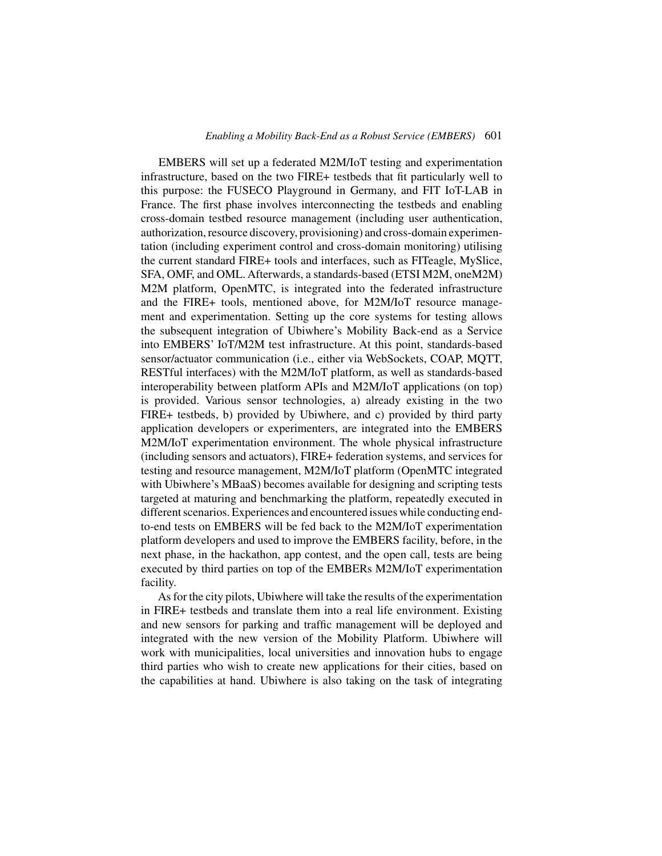EMBERS will set up a federated M2M/IoT testing and experimentation infrastructure, based on the two FIRE+ testbeds that fit particularly well to this purpose: the FUSECO Playground in Germany, and FIT IoT-LAB in France. The first phase involves interconnecting the testbeds and enabling cross-domain testbed resource management (including user authentication, authorization, resource discovery, provisioning) and cross-domain experimentation (including experiment control and cross-domain monitoring) utilising the current standard FIRE+ tools and interfaces, such as FITeagle, MySlice, SFA, OMF, and OML. Afterwards, a standards-based (ETSI M2M, oneM2M) M2M platform, OpenMTC, is integrated into the federated infrastructure and the FIRE+ tools, mentioned above, for M2M/IoT resource management and experimentation. Setting up the core systems for testing allows the subsequent integration of Ubiwhere's Mobility Back-end as a Service into EMBERS' IoT/M2M test infrastructure. At this point, standards-based sensor/actuator communication (i.e., either via WebSockets, COAP, MQTT, RESTful interfaces) with the M2M/IoT platform, as well as standards-based interoperability between platform APIs and M2M/IoT applications (on top) is provided. Various sensor technologies, a) already existing in the two FIRE+ testbeds, b) provided by Ubiwhere, and c) provided by third party application developers or experimenters, are integrated into the EMBERS M2M/IoT experimentation environment. The whole physical infrastructure (including sensors and actuators), FIRE+ federation systems, and services for testing and resource management, M2M/IoT platform (OpenMTC integrated with Ubiwhere's MBaaS) becomes available for designing and scripting tests targeted at maturing and benchmarking the platform, repeatedly executed in different scenarios. Experiences and encountered issues while conducting endto-end tests on EMBERS will be fed back to the M2M/IoT experimentation platform developers and used to improve the EMBERS facility, before, in the next phase, in the hackathon, app contest, and the open call, tests are being executed by third parties on top of the EMBERs M2M/IoT experimentation facility.

As for the city pilots, Ubiwhere will take the results of the experimentation in FIRE+ testbeds and translate them into a real life environment. Existing and new sensors for parking and traffic management will be deployed and integrated with the new version of the Mobility Platform. Ubiwhere will work with municipalities, local universities and innovation hubs to engage third parties who wish to create new applications for their cities, based on the capabilities at hand. Ubiwhere is also taking on the task of integrating